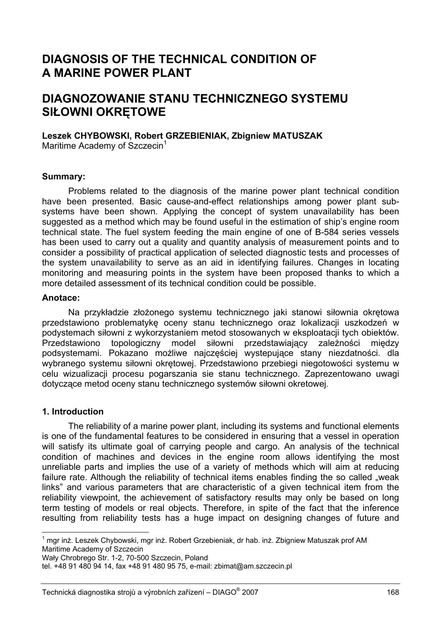# **DIAGNOSIS OF THE TECHNICAL CONDITION OF A MARINE POWER PLANT**

# **DIAGNOZOWANIE STANU TECHNICZNEGO SYSTEMU SIŁOWNI OKRĘTOWE**

### **Leszek CHYBOWSKI, Robert GRZEBIENIAK, Zbigniew MATUSZAK**

Maritime Academy of Szczecin<sup>1</sup>

#### **Summary:**

Problems related to the diagnosis of the marine power plant technical condition have been presented. Basic cause-and-effect relationships among power plant subsystems have been shown. Applying the concept of system unavailability has been suggested as a method which may be found useful in the estimation of ship's engine room technical state. The fuel system feeding the main engine of one of B-584 series vessels has been used to carry out a quality and quantity analysis of measurement points and to consider a possibility of practical application of selected diagnostic tests and processes of the system unavailability to serve as an aid in identifying failures. Changes in locating monitoring and measuring points in the system have been proposed thanks to which a more detailed assessment of its technical condition could be possible.

#### **Anotace:**

Na przykładzie złożonego systemu technicznego jaki stanowi siłownia okrętowa przedstawiono problematykę oceny stanu technicznego oraz lokalizacji uszkodzeń w podystemach siłowni z wykorzystaniem metod stosowanych w eksploatacji tych obiektów. Przedstawiono topologiczny model siłowni przedstawiający zależności między podsystemami. Pokazano możliwe najczęściej wystepujące stany niezdatności. dla wybranego systemu siłowni okrętowej. Przedstawiono przebiegi niegotowości systemu w celu wizualizacji procesu pogarszania sie stanu technicznego. Zaprezentowano uwagi dotyczące metod oceny stanu technicznego systemów siłowni okretowej.

### **1. Introduction**

l

The reliability of a marine power plant, including its systems and functional elements is one of the fundamental features to be considered in ensuring that a vessel in operation will satisfy its ultimate goal of carrying people and cargo. An analysis of the technical condition of machines and devices in the engine room allows identifying the most unreliable parts and implies the use of a variety of methods which will aim at reducing failure rate. Although the reliability of technical items enables finding the so called "weak links" and various parameters that are characteristic of a given technical item from the reliability viewpoint, the achievement of satisfactory results may only be based on long term testing of models or real objects. Therefore, in spite of the fact that the inference resulting from reliability tests has a huge impact on designing changes of future and

Wały Chrobrego Str. 1-2, 70-500 Szczecin, Poland

<sup>&</sup>lt;sup>1</sup> mgr inż. Leszek Chybowski, mgr inż. Robert Grzebieniak, dr hab. inż. Zbigniew Matuszak prof AM Maritime Academy of Szczecin

tel. +48 91 480 94 14, fax +48 91 480 95 75, e-mail: zbimat@am.szczecin.pl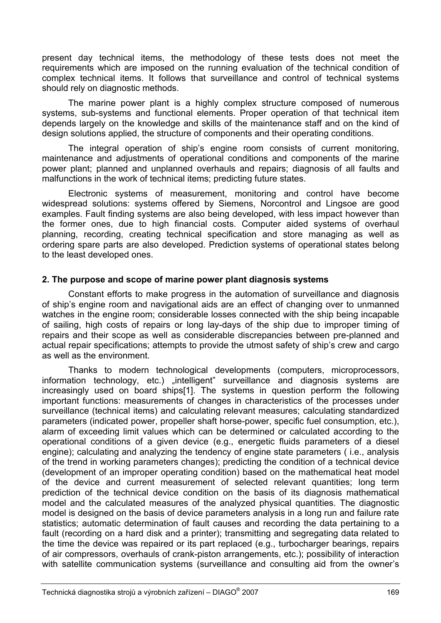present day technical items, the methodology of these tests does not meet the requirements which are imposed on the running evaluation of the technical condition of complex technical items. It follows that surveillance and control of technical systems should rely on diagnostic methods.

The marine power plant is a highly complex structure composed of numerous systems, sub-systems and functional elements. Proper operation of that technical item depends largely on the knowledge and skills of the maintenance staff and on the kind of design solutions applied, the structure of components and their operating conditions.

The integral operation of ship's engine room consists of current monitoring, maintenance and adjustments of operational conditions and components of the marine power plant; planned and unplanned overhauls and repairs; diagnosis of all faults and malfunctions in the work of technical items; predicting future states.

Electronic systems of measurement, monitoring and control have become widespread solutions: systems offered by Siemens, Norcontrol and Lingsoe are good examples. Fault finding systems are also being developed, with less impact however than the former ones, due to high financial costs. Computer aided systems of overhaul planning, recording, creating technical specification and store managing as well as ordering spare parts are also developed. Prediction systems of operational states belong to the least developed ones.

# **2. The purpose and scope of marine power plant diagnosis systems**

Constant efforts to make progress in the automation of surveillance and diagnosis of ship's engine room and navigational aids are an effect of changing over to unmanned watches in the engine room; considerable losses connected with the ship being incapable of sailing, high costs of repairs or long lay-days of the ship due to improper timing of repairs and their scope as well as considerable discrepancies between pre-planned and actual repair specifications; attempts to provide the utmost safety of ship's crew and cargo as well as the environment.

Thanks to modern technological developments (computers, microprocessors, information technology, etc.) "intelligent" surveillance and diagnosis systems are increasingly used on board ships[1]. The systems in question perform the following important functions: measurements of changes in characteristics of the processes under surveillance (technical items) and calculating relevant measures; calculating standardized parameters (indicated power, propeller shaft horse-power, specific fuel consumption, etc.), alarm of exceeding limit values which can be determined or calculated according to the operational conditions of a given device (e.g., energetic fluids parameters of a diesel engine); calculating and analyzing the tendency of engine state parameters ( i.e., analysis of the trend in working parameters changes); predicting the condition of a technical device (development of an improper operating condition) based on the mathematical heat model of the device and current measurement of selected relevant quantities; long term prediction of the technical device condition on the basis of its diagnosis mathematical model and the calculated measures of the analyzed physical quantities. The diagnostic model is designed on the basis of device parameters analysis in a long run and failure rate statistics; automatic determination of fault causes and recording the data pertaining to a fault (recording on a hard disk and a printer); transmitting and segregating data related to the time the device was repaired or its part replaced (e.g., turbocharger bearings, repairs of air compressors, overhauls of crank-piston arrangements, etc.); possibility of interaction with satellite communication systems (surveillance and consulting aid from the owner's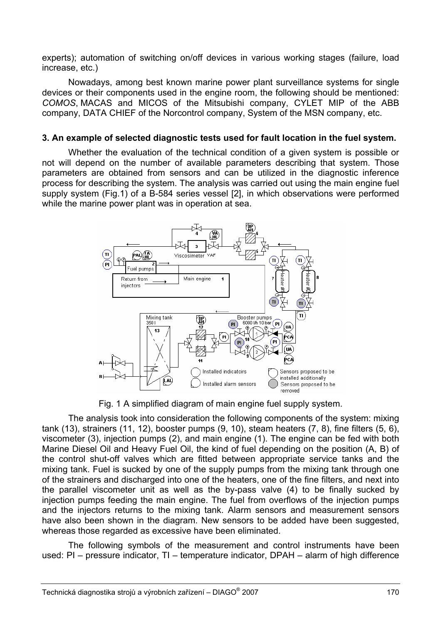experts); automation of switching on/off devices in various working stages (failure, load increase, etc.)

Nowadays, among best known marine power plant surveillance systems for single devices or their components used in the engine room, the following should be mentioned: *COMOS*, MACAS and MICOS of the Mitsubishi company, CYLET MIP of the ABB company, DATA CHIEF of the Norcontrol company, System of the MSN company, etc.

## **3. An example of selected diagnostic tests used for fault location in the fuel system.**

Whether the evaluation of the technical condition of a given system is possible or not will depend on the number of available parameters describing that system. Those parameters are obtained from sensors and can be utilized in the diagnostic inference process for describing the system. The analysis was carried out using the main engine fuel supply system (Fig.1) of a B-584 series vessel [2], in which observations were performed while the marine power plant was in operation at sea.



Fig. 1 A simplified diagram of main engine fuel supply system.

The analysis took into consideration the following components of the system: mixing tank (13), strainers (11, 12), booster pumps (9, 10), steam heaters (7, 8), fine filters (5, 6), viscometer (3), injection pumps (2), and main engine (1). The engine can be fed with both Marine Diesel Oil and Heavy Fuel Oil, the kind of fuel depending on the position (A, B) of the control shut-off valves which are fitted between appropriate service tanks and the mixing tank. Fuel is sucked by one of the supply pumps from the mixing tank through one of the strainers and discharged into one of the heaters, one of the fine filters, and next into the parallel viscometer unit as well as the by-pass valve (4) to be finally sucked by injection pumps feeding the main engine. The fuel from overflows of the injection pumps and the injectors returns to the mixing tank. Alarm sensors and measurement sensors have also been shown in the diagram. New sensors to be added have been suggested, whereas those regarded as excessive have been eliminated.

The following symbols of the measurement and control instruments have been used: PI – pressure indicator, TI – temperature indicator, DPAH – alarm of high difference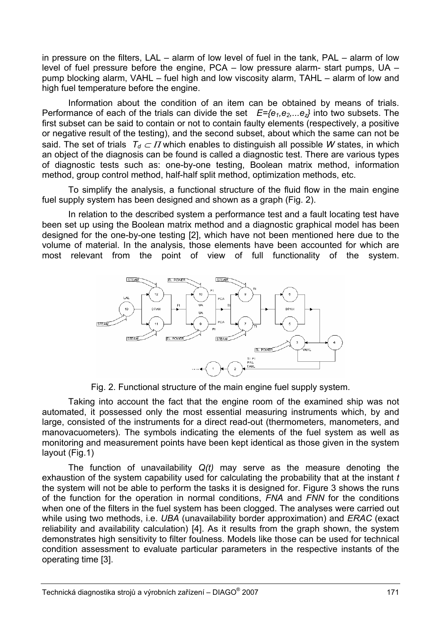in pressure on the filters, LAL – alarm of low level of fuel in the tank, PAL – alarm of low level of fuel pressure before the engine, PCA – low pressure alarm- start pumps, UA – pump blocking alarm, VAHL – fuel high and low viscosity alarm, TAHL – alarm of low and high fuel temperature before the engine.

Information about the condition of an item can be obtained by means of trials. Performance of each of the trials can divide the set  $E=\{e_1,e_2,...e_n\}$  into two subsets. The first subset can be said to contain or not to contain faulty elements (respectively, a positive or negative result of the testing), and the second subset, about which the same can not be said. The set of trials  $T_d \subset \Pi$  which enables to distinguish all possible *W* states, in which an object of the diagnosis can be found is called a diagnostic test. There are various types of diagnostic tests such as: one-by-one testing, Boolean matrix method, information method, group control method, half-half split method, optimization methods, etc.

To simplify the analysis, a functional structure of the fluid flow in the main engine fuel supply system has been designed and shown as a graph (Fig. 2).

In relation to the described system a performance test and a fault locating test have been set up using the Boolean matrix method and a diagnostic graphical model has been designed for the one-by-one testing [2], which have not been mentioned here due to the volume of material. In the analysis, those elements have been accounted for which are most relevant from the point of view of full functionality of the system.



Fig. 2. Functional structure of the main engine fuel supply system.

Taking into account the fact that the engine room of the examined ship was not automated, it possessed only the most essential measuring instruments which, by and large, consisted of the instruments for a direct read-out (thermometers, manometers, and manovacuometers). The symbols indicating the elements of the fuel system as well as monitoring and measurement points have been kept identical as those given in the system layout (Fig.1)

The function of unavailability *Q(t)* may serve as the measure denoting the exhaustion of the system capability used for calculating the probability that at the instant *t* the system will not be able to perform the tasks it is designed for. Figure 3 shows the runs of the function for the operation in normal conditions, *FNA* and *FNN* for the conditions when one of the filters in the fuel system has been clogged. The analyses were carried out while using two methods, i.e. *UBA* (unavailability border approximation) and *ERAC* (exact reliability and availability calculation) [4]. As it results from the graph shown, the system demonstrates high sensitivity to filter foulness. Models like those can be used for technical condition assessment to evaluate particular parameters in the respective instants of the operating time [3].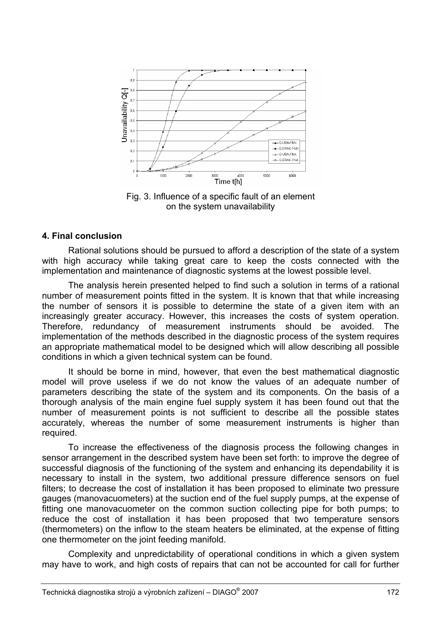

Fig. 3. Influence of a specific fault of an element on the system unavailability

### **4. Final conclusion**

Rational solutions should be pursued to afford a description of the state of a system with high accuracy while taking great care to keep the costs connected with the implementation and maintenance of diagnostic systems at the lowest possible level.

The analysis herein presented helped to find such a solution in terms of a rational number of measurement points fitted in the system. It is known that that while increasing the number of sensors it is possible to determine the state of a given item with an increasingly greater accuracy. However, this increases the costs of system operation. Therefore, redundancy of measurement instruments should be avoided. The implementation of the methods described in the diagnostic process of the system requires an appropriate mathematical model to be designed which will allow describing all possible conditions in which a given technical system can be found.

It should be borne in mind, however, that even the best mathematical diagnostic model will prove useless if we do not know the values of an adequate number of parameters describing the state of the system and its components. On the basis of a thorough analysis of the main engine fuel supply system it has been found out that the number of measurement points is not sufficient to describe all the possible states accurately, whereas the number of some measurement instruments is higher than required.

To increase the effectiveness of the diagnosis process the following changes in sensor arrangement in the described system have been set forth: to improve the degree of successful diagnosis of the functioning of the system and enhancing its dependability it is necessary to install in the system, two additional pressure difference sensors on fuel filters; to decrease the cost of installation it has been proposed to eliminate two pressure gauges (manovacuometers) at the suction end of the fuel supply pumps, at the expense of fitting one manovacuometer on the common suction collecting pipe for both pumps; to reduce the cost of installation it has been proposed that two temperature sensors (thermometers) on the inflow to the steam heaters be eliminated, at the expense of fitting one thermometer on the joint feeding manifold.

Complexity and unpredictability of operational conditions in which a given system may have to work, and high costs of repairs that can not be accounted for call for further